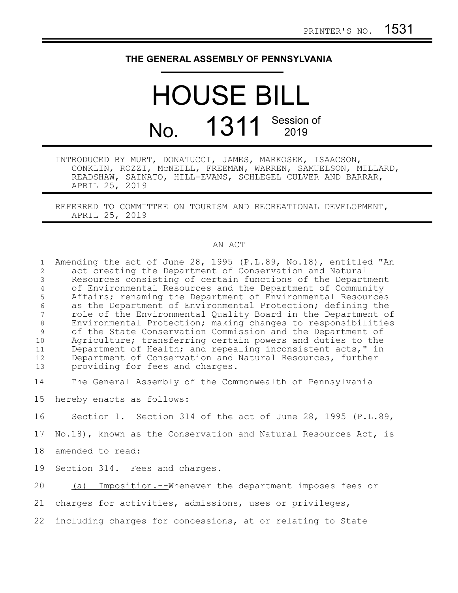## **THE GENERAL ASSEMBLY OF PENNSYLVANIA**

## HOUSE BILL No. 1311 Session of

INTRODUCED BY MURT, DONATUCCI, JAMES, MARKOSEK, ISAACSON, CONKLIN, ROZZI, McNEILL, FREEMAN, WARREN, SAMUELSON, MILLARD, READSHAW, SAINATO, HILL-EVANS, SCHLEGEL CULVER AND BARRAR, APRIL 25, 2019

REFERRED TO COMMITTEE ON TOURISM AND RECREATIONAL DEVELOPMENT, APRIL 25, 2019

## AN ACT

| $\mathbf{1}$<br>$\overline{2}$<br>$\mathfrak{Z}$<br>$\overline{4}$<br>5<br>$6\phantom{.}6$<br>7<br>$\,8\,$<br>$\mathcal{G}$<br>10<br>11<br>12<br>13 | Amending the act of June 28, 1995 (P.L.89, No.18), entitled "An<br>act creating the Department of Conservation and Natural<br>Resources consisting of certain functions of the Department<br>of Environmental Resources and the Department of Community<br>Affairs; renaming the Department of Environmental Resources<br>as the Department of Environmental Protection; defining the<br>role of the Environmental Quality Board in the Department of<br>Environmental Protection; making changes to responsibilities<br>of the State Conservation Commission and the Department of<br>Agriculture; transferring certain powers and duties to the<br>Department of Health; and repealing inconsistent acts," in<br>Department of Conservation and Natural Resources, further<br>providing for fees and charges. |
|-----------------------------------------------------------------------------------------------------------------------------------------------------|-----------------------------------------------------------------------------------------------------------------------------------------------------------------------------------------------------------------------------------------------------------------------------------------------------------------------------------------------------------------------------------------------------------------------------------------------------------------------------------------------------------------------------------------------------------------------------------------------------------------------------------------------------------------------------------------------------------------------------------------------------------------------------------------------------------------|
| 14                                                                                                                                                  | The General Assembly of the Commonwealth of Pennsylvania                                                                                                                                                                                                                                                                                                                                                                                                                                                                                                                                                                                                                                                                                                                                                        |
| 15                                                                                                                                                  | hereby enacts as follows:                                                                                                                                                                                                                                                                                                                                                                                                                                                                                                                                                                                                                                                                                                                                                                                       |
| 16                                                                                                                                                  | Section 1. Section 314 of the act of June 28, 1995 (P.L.89,                                                                                                                                                                                                                                                                                                                                                                                                                                                                                                                                                                                                                                                                                                                                                     |
| 17                                                                                                                                                  | No.18), known as the Conservation and Natural Resources Act, is                                                                                                                                                                                                                                                                                                                                                                                                                                                                                                                                                                                                                                                                                                                                                 |
| 18                                                                                                                                                  | amended to read:                                                                                                                                                                                                                                                                                                                                                                                                                                                                                                                                                                                                                                                                                                                                                                                                |
| 19                                                                                                                                                  | Section 314. Fees and charges.                                                                                                                                                                                                                                                                                                                                                                                                                                                                                                                                                                                                                                                                                                                                                                                  |
| 20                                                                                                                                                  | Imposition.--Whenever the department imposes fees or<br>(a)                                                                                                                                                                                                                                                                                                                                                                                                                                                                                                                                                                                                                                                                                                                                                     |
| 21                                                                                                                                                  | charges for activities, admissions, uses or privileges,                                                                                                                                                                                                                                                                                                                                                                                                                                                                                                                                                                                                                                                                                                                                                         |
| 22                                                                                                                                                  | including charges for concessions, at or relating to State                                                                                                                                                                                                                                                                                                                                                                                                                                                                                                                                                                                                                                                                                                                                                      |